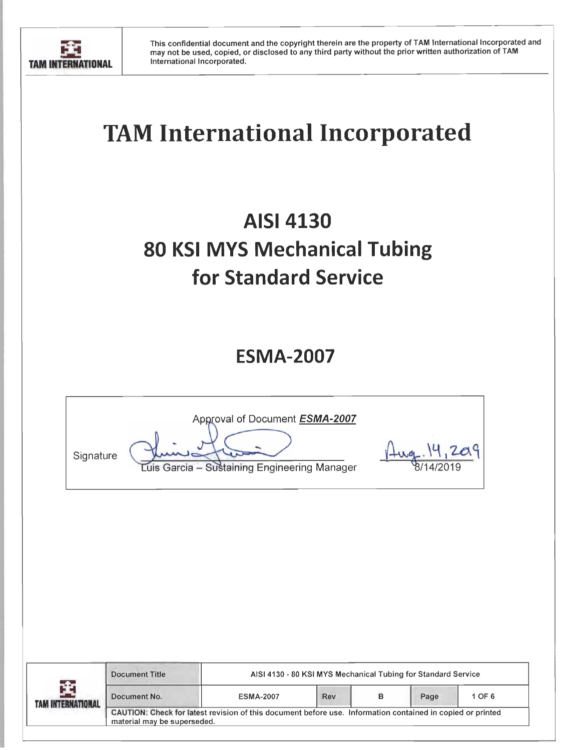

# **TAM International Incorporated**

## **AISI 4130 80 KSI MYS Mechanical Tubing** for Standard Service

### **ESMA-2007**

| Signature | Approval of Document ESMA-2007<br>Luis Garcia - Sustaining Engineering Manager |  |
|-----------|--------------------------------------------------------------------------------|--|
|           |                                                                                |  |

| -4-<br><b>TAM INTERNATIONAL</b> | <b>Document Title</b>                                                                                                                     | AISI 4130 - 80 KSI MYS Mechanical Tubing for Standard Service |            |   |      |        |
|---------------------------------|-------------------------------------------------------------------------------------------------------------------------------------------|---------------------------------------------------------------|------------|---|------|--------|
|                                 | Document No.                                                                                                                              | <b>ESMA-2007</b>                                              | <b>Rev</b> | в | Page | 1 OF 6 |
|                                 | CAUTION: Check for latest revision of this document before use. Information contained in copied or printed<br>material may be superseded. |                                                               |            |   |      |        |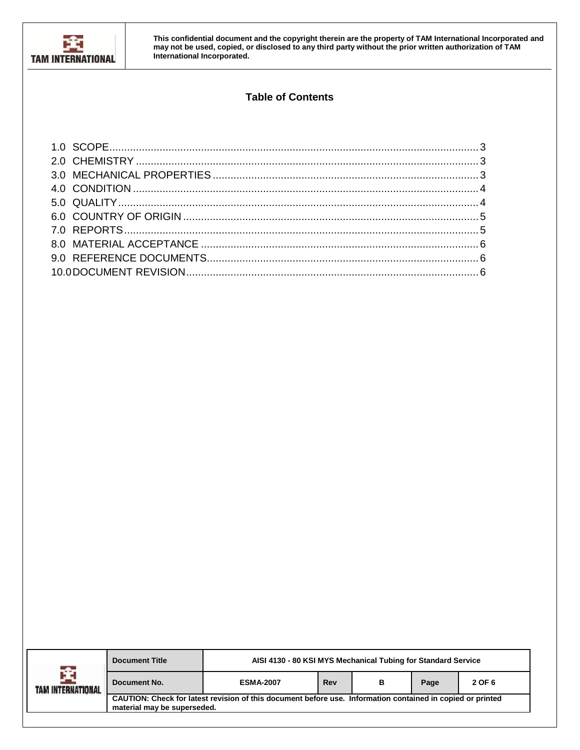

#### **Table of Contents**

| -≏-<br>TAM INTERNATIONAL | <b>Document Title</b>                                                                                                                     | AISI 4130 - 80 KSI MYS Mechanical Tubing for Standard Service |     |   |      |        |
|--------------------------|-------------------------------------------------------------------------------------------------------------------------------------------|---------------------------------------------------------------|-----|---|------|--------|
|                          | Document No.                                                                                                                              | <b>ESMA-2007</b>                                              | Rev | в | Page | 2 OF 6 |
|                          | CAUTION: Check for latest revision of this document before use. Information contained in copied or printed<br>material may be superseded. |                                                               |     |   |      |        |
|                          |                                                                                                                                           |                                                               |     |   |      |        |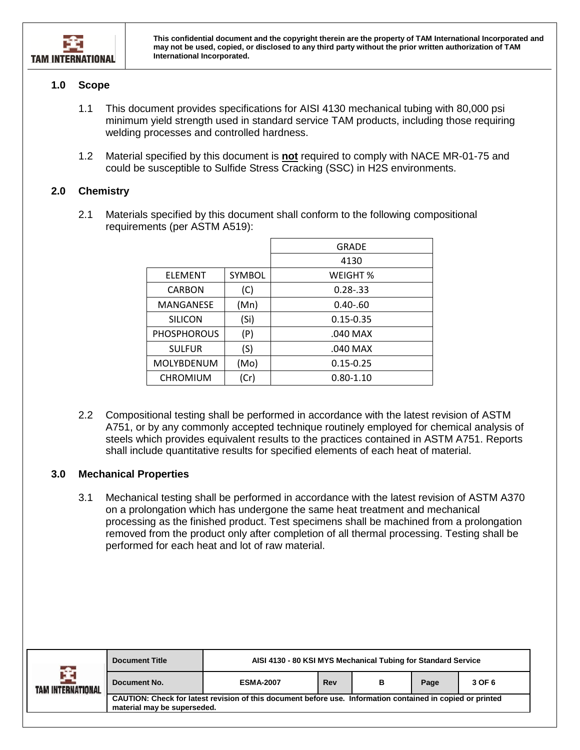

#### <span id="page-2-0"></span>**1.0 Scope**

- 1.1 This document provides specifications for AISI 4130 mechanical tubing with 80,000 psi minimum yield strength used in standard service TAM products, including those requiring welding processes and controlled hardness.
- 1.2 Material specified by this document is **not** required to comply with NACE MR-01-75 and could be susceptible to Sulfide Stress Cracking (SSC) in H2S environments.

#### <span id="page-2-1"></span>**2.0 Chemistry**

2.1 Materials specified by this document shall conform to the following compositional requirements (per ASTM A519):

|                    |        | GRADE         |  |  |
|--------------------|--------|---------------|--|--|
|                    |        | 4130          |  |  |
| <b>FLEMENT</b>     | SYMBOL | WEIGHT %      |  |  |
| <b>CARBON</b>      | (C)    | $0.28 - 33$   |  |  |
| MANGANESE          | (Mn)   | $0.40 - 60$   |  |  |
| <b>SILICON</b>     | (Si)   | $0.15 - 0.35$ |  |  |
| <b>PHOSPHOROUS</b> | (P)    | .040 MAX      |  |  |
| <b>SULFUR</b>      | (S)    | .040 MAX      |  |  |
| MOLYBDENUM         | (Mo)   | $0.15 - 0.25$ |  |  |
| <b>CHROMIUM</b>    | (Cr)   | $0.80 - 1.10$ |  |  |

2.2 Compositional testing shall be performed in accordance with the latest revision of ASTM A751, or by any commonly accepted technique routinely employed for chemical analysis of steels which provides equivalent results to the practices contained in ASTM A751. Reports shall include quantitative results for specified elements of each heat of material.

#### <span id="page-2-2"></span>**3.0 Mechanical Properties**

3.1 Mechanical testing shall be performed in accordance with the latest revision of ASTM A370 on a prolongation which has undergone the same heat treatment and mechanical processing as the finished product. Test specimens shall be machined from a prolongation removed from the product only after completion of all thermal processing. Testing shall be performed for each heat and lot of raw material.

| n Star            | <b>Document Title</b>                                                                                                                     | AISI 4130 - 80 KSI MYS Mechanical Tubing for Standard Service |     |   |      |        |
|-------------------|-------------------------------------------------------------------------------------------------------------------------------------------|---------------------------------------------------------------|-----|---|------|--------|
| TAM INTERNATIONAL | Document No.                                                                                                                              | <b>ESMA-2007</b>                                              | Rev | в | Page | 3 OF 6 |
|                   | CAUTION: Check for latest revision of this document before use. Information contained in copied or printed<br>material may be superseded. |                                                               |     |   |      |        |
|                   |                                                                                                                                           |                                                               |     |   |      |        |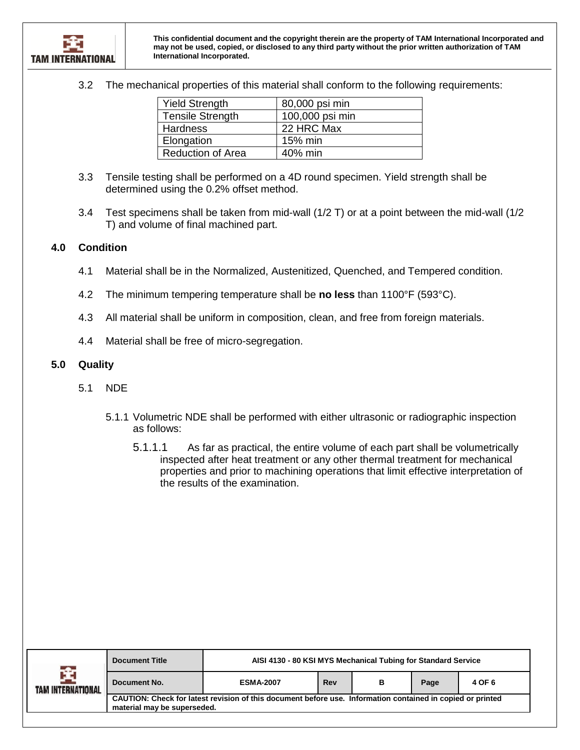3.2 The mechanical properties of this material shall conform to the following requirements:

| <b>Yield Strength</b>    | 80,000 psi min  |
|--------------------------|-----------------|
| <b>Tensile Strength</b>  | 100,000 psi min |
| <b>Hardness</b>          | 22 HRC Max      |
| Elongation               | 15% min         |
| <b>Reduction of Area</b> | 40% min         |

- 3.3 Tensile testing shall be performed on a 4D round specimen. Yield strength shall be determined using the 0.2% offset method.
- 3.4 Test specimens shall be taken from mid-wall (1/2 T) or at a point between the mid-wall (1/2 T) and volume of final machined part.

#### <span id="page-3-0"></span>**4.0 Condition**

- 4.1 Material shall be in the Normalized, Austenitized, Quenched, and Tempered condition.
- 4.2 The minimum tempering temperature shall be **no less** than 1100°F (593°C).
- 4.3 All material shall be uniform in composition, clean, and free from foreign materials.
- 4.4 Material shall be free of micro-segregation.

#### <span id="page-3-1"></span>**5.0 Quality**

- 5.1 NDE
	- 5.1.1 Volumetric NDE shall be performed with either ultrasonic or radiographic inspection as follows:
		- 5.1.1.1 As far as practical, the entire volume of each part shall be volumetrically inspected after heat treatment or any other thermal treatment for mechanical properties and prior to machining operations that limit effective interpretation of the results of the examination.

| rster<br>TAM INTERNATIONAL | <b>Document Title</b>                                                                                                                     | AISI 4130 - 80 KSI MYS Mechanical Tubing for Standard Service |     |   |      |        |
|----------------------------|-------------------------------------------------------------------------------------------------------------------------------------------|---------------------------------------------------------------|-----|---|------|--------|
|                            | Document No.                                                                                                                              | <b>ESMA-2007</b>                                              | Rev | в | Page | 4 OF 6 |
|                            | CAUTION: Check for latest revision of this document before use. Information contained in copied or printed<br>material may be superseded. |                                                               |     |   |      |        |
|                            |                                                                                                                                           |                                                               |     |   |      |        |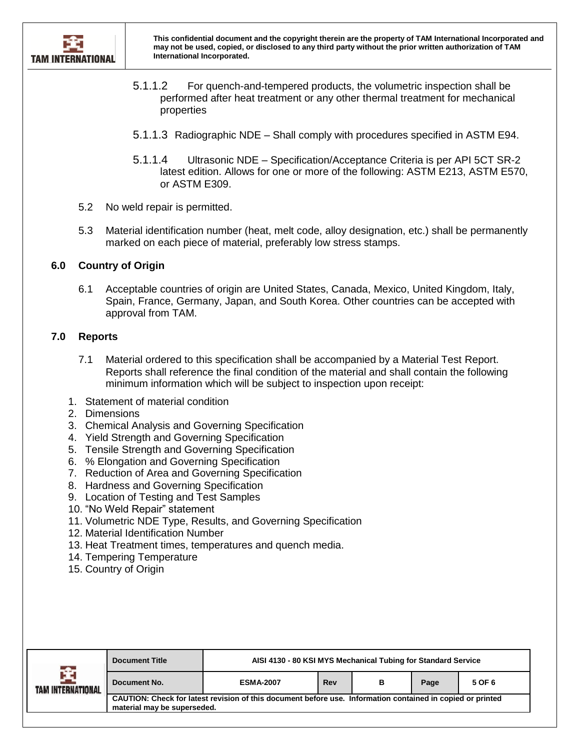

- 5.1.1.2 For quench-and-tempered products, the volumetric inspection shall be performed after heat treatment or any other thermal treatment for mechanical properties
- 5.1.1.3 Radiographic NDE Shall comply with procedures specified in ASTM E94.
- 5.1.1.4 Ultrasonic NDE Specification/Acceptance Criteria is per API 5CT SR-2 latest edition. Allows for one or more of the following: ASTM E213, ASTM E570, or ASTM E309.
- 5.2 No weld repair is permitted.
- 5.3 Material identification number (heat, melt code, alloy designation, etc.) shall be permanently marked on each piece of material, preferably low stress stamps.

#### <span id="page-4-0"></span>**6.0 Country of Origin**

6.1 Acceptable countries of origin are United States, Canada, Mexico, United Kingdom, Italy, Spain, France, Germany, Japan, and South Korea. Other countries can be accepted with approval from TAM.

#### <span id="page-4-1"></span>**7.0 Reports**

- 7.1 Material ordered to this specification shall be accompanied by a Material Test Report. Reports shall reference the final condition of the material and shall contain the following minimum information which will be subject to inspection upon receipt:
- 1. Statement of material condition
- 2. Dimensions
- 3. Chemical Analysis and Governing Specification
- 4. Yield Strength and Governing Specification
- 5. Tensile Strength and Governing Specification
- 6. % Elongation and Governing Specification
- 7. Reduction of Area and Governing Specification
- 8. Hardness and Governing Specification
- 9. Location of Testing and Test Samples
- 10. "No Weld Repair" statement
- 11. Volumetric NDE Type, Results, and Governing Specification
- 12. Material Identification Number
- 13. Heat Treatment times, temperatures and quench media.
- 14. Tempering Temperature
- 15. Country of Origin

| 全<br>TAM INTERNATIONAL | <b>Document Title</b>                                                                                                                     | AISI 4130 - 80 KSI MYS Mechanical Tubing for Standard Service |     |   |      |        |
|------------------------|-------------------------------------------------------------------------------------------------------------------------------------------|---------------------------------------------------------------|-----|---|------|--------|
|                        | Document No.                                                                                                                              | <b>ESMA-2007</b>                                              | Rev | в | Page | 5 OF 6 |
|                        | CAUTION: Check for latest revision of this document before use. Information contained in copied or printed<br>material may be superseded. |                                                               |     |   |      |        |
|                        |                                                                                                                                           |                                                               |     |   |      |        |